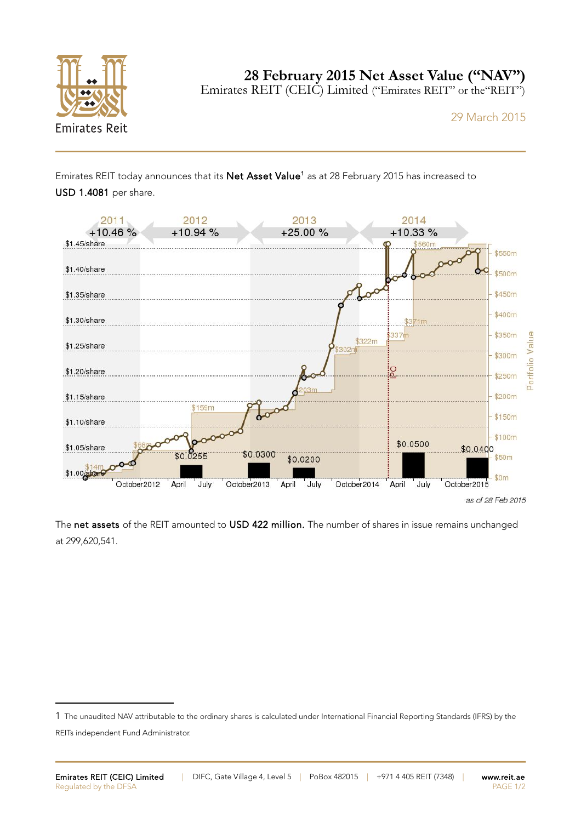

**28 February 2015 Net Asset Value ("NAV")**

Emirates REIT (CEIC) Limited ("Emirates REIT" or the"REIT")

29 March 2015

Emirates REIT today announces that its Net Asset Value<sup>[1](#page-0-0)</sup> as at 28 February 2015 has increased to



The net assets of the REIT amounted to USD 422 million. The number of shares in issue remains unchanged at 299,620,541.

<span id="page-0-0"></span><sup>1</sup> The unaudited NAV attributable to the ordinary shares is calculated under International Financial Reporting Standards (IFRS) by the REITs independent Fund Administrator.